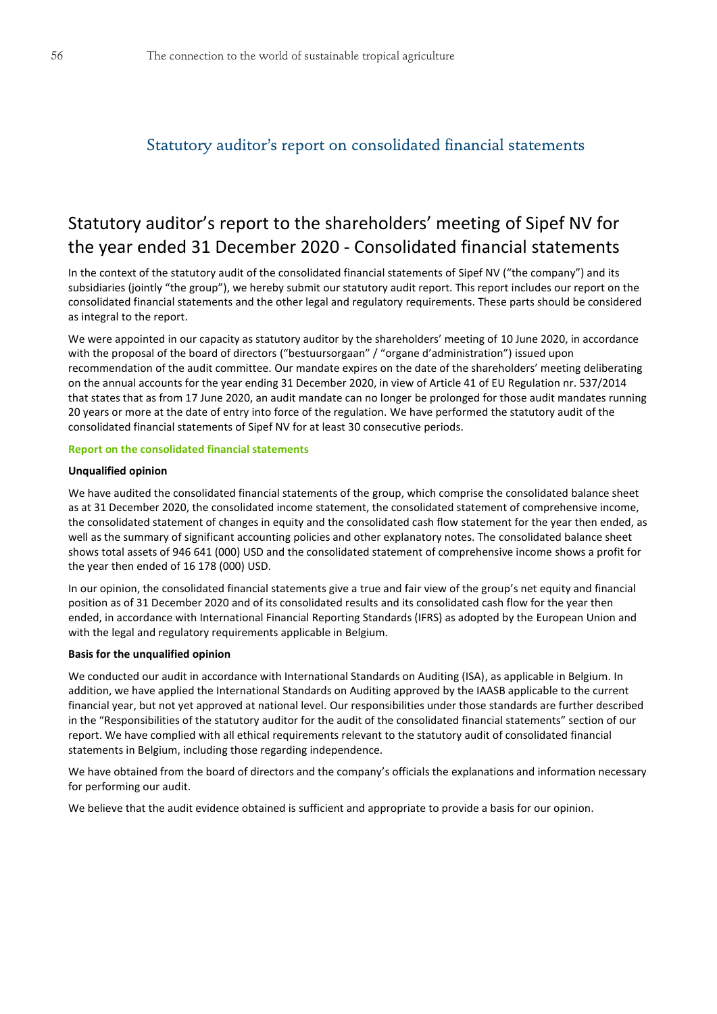# Statutory auditor's report on consolidated financial statements

# Statutory auditor's report to the shareholders' meeting of Sipef NV for the year ended 31 December 2020 - Consolidated financial statements

In the context of the statutory audit of the consolidated financial statements of Sipef NV ("the company") and its subsidiaries (jointly "the group"), we hereby submit our statutory audit report. This report includes our report on the consolidated financial statements and the other legal and regulatory requirements. These parts should be considered as integral to the report.

We were appointed in our capacity as statutory auditor by the shareholders' meeting of 10 June 2020, in accordance with the proposal of the board of directors ("bestuursorgaan" / "organe d'administration") issued upon recommendation of the audit committee. Our mandate expires on the date of the shareholders' meeting deliberating on the annual accounts for the year ending 31 December 2020, in view of Article 41 of EU Regulation nr. 537/2014 that states that as from 17 June 2020, an audit mandate can no longer be prolonged for those audit mandates running 20 years or more at the date of entry into force of the regulation. We have performed the statutory audit of the consolidated financial statements of Sipef NV for at least 30 consecutive periods.

#### **Report on the consolidated financial statements**

#### **Unqualified opinion**

We have audited the consolidated financial statements of the group, which comprise the consolidated balance sheet as at 31 December 2020, the consolidated income statement, the consolidated statement of comprehensive income, the consolidated statement of changes in equity and the consolidated cash flow statement for the year then ended, as well as the summary of significant accounting policies and other explanatory notes. The consolidated balance sheet shows total assets of 946 641 (000) USD and the consolidated statement of comprehensive income shows a profit for the year then ended of 16 178 (000) USD.

In our opinion, the consolidated financial statements give a true and fair view of the group's net equity and financial position as of 31 December 2020 and of its consolidated results and its consolidated cash flow for the year then ended, in accordance with International Financial Reporting Standards (IFRS) as adopted by the European Union and with the legal and regulatory requirements applicable in Belgium.

#### **Basis for the unqualified opinion**

We conducted our audit in accordance with International Standards on Auditing (ISA), as applicable in Belgium. In addition, we have applied the International Standards on Auditing approved by the IAASB applicable to the current financial year, but not yet approved at national level. Our responsibilities under those standards are further described in the "Responsibilities of the statutory auditor for the audit of the consolidated financial statements" section of our report. We have complied with all ethical requirements relevant to the statutory audit of consolidated financial statements in Belgium, including those regarding independence.

We have obtained from the board of directors and the company's officials the explanations and information necessary for performing our audit.

We believe that the audit evidence obtained is sufficient and appropriate to provide a basis for our opinion.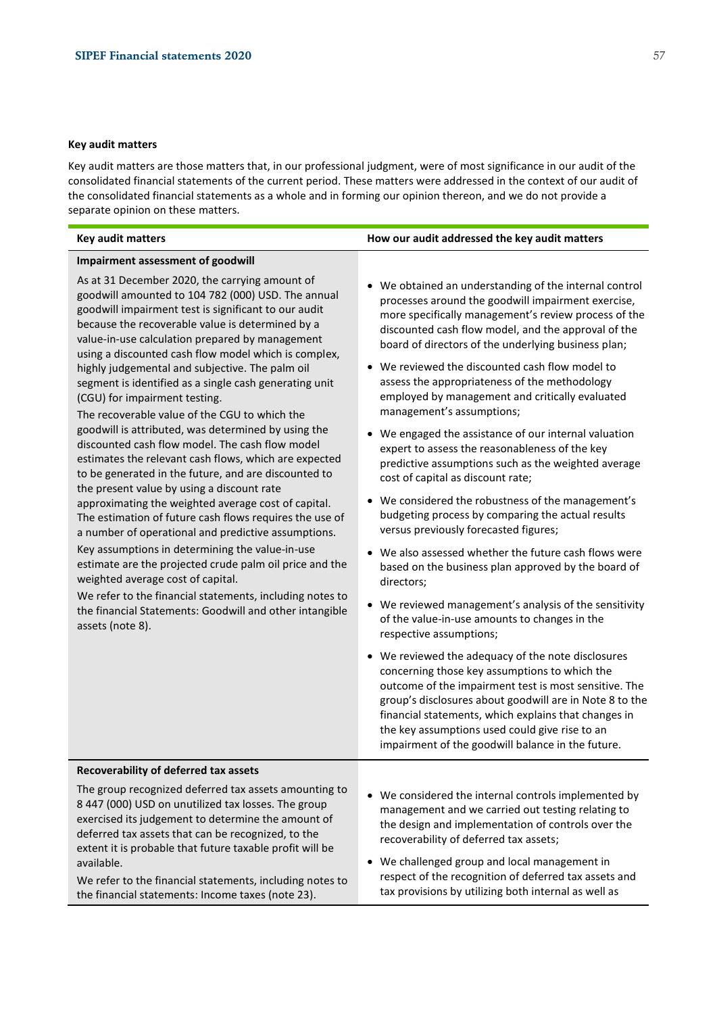#### **Key audit matters**

Key audit matters are those matters that, in our professional judgment, were of most significance in our audit of the consolidated financial statements of the current period. These matters were addressed in the context of our audit of the consolidated financial statements as a whole and in forming our opinion thereon, and we do not provide a separate opinion on these matters.

#### **Key audit matters How our audit addressed the key audit matters**

#### **Impairment assessment of goodwill**

As at 31 December 2020, the carrying amount of goodwill amounted to 104 782 (000) USD. The annual goodwill impairment test is significant to our audit because the recoverable value is determined by a value-in-use calculation prepared by management using a discounted cash flow model which is complex, highly judgemental and subjective. The palm oil segment is identified as a single cash generating unit (CGU) for impairment testing.

The recoverable value of the CGU to which the goodwill is attributed, was determined by using the discounted cash flow model. The cash flow model estimates the relevant cash flows, which are expected to be generated in the future, and are discounted to the present value by using a discount rate approximating the weighted average cost of capital. The estimation of future cash flows requires the use of a number of operational and predictive assumptions.

Key assumptions in determining the value-in-use estimate are the projected crude palm oil price and the weighted average cost of capital.

We refer to the financial statements, including notes to the financial Statements: Goodwill and other intangible assets (note 8).

- We obtained an understanding of the internal control processes around the goodwill impairment exercise, more specifically management's review process of the discounted cash flow model, and the approval of the board of directors of the underlying business plan;
- We reviewed the discounted cash flow model to assess the appropriateness of the methodology employed by management and critically evaluated management's assumptions;
- We engaged the assistance of our internal valuation expert to assess the reasonableness of the key predictive assumptions such as the weighted average cost of capital as discount rate;
- We considered the robustness of the management's budgeting process by comparing the actual results versus previously forecasted figures;
- We also assessed whether the future cash flows were based on the business plan approved by the board of directors;
- We reviewed management's analysis of the sensitivity of the value-in-use amounts to changes in the respective assumptions;
- We reviewed the adequacy of the note disclosures concerning those key assumptions to which the outcome of the impairment test is most sensitive. The group's disclosures about goodwill are in Note 8 to the financial statements, which explains that changes in the key assumptions used could give rise to an impairment of the goodwill balance in the future.

#### **Recoverability of deferred tax assets**

The group recognized deferred tax assets amounting to 8 447 (000) USD on unutilized tax losses. The group exercised its judgement to determine the amount of deferred tax assets that can be recognized, to the extent it is probable that future taxable profit will be available.

We refer to the financial statements, including notes to the financial statements: Income taxes (note 23).

- We considered the internal controls implemented by management and we carried out testing relating to the design and implementation of controls over the recoverability of deferred tax assets;
- We challenged group and local management in respect of the recognition of deferred tax assets and tax provisions by utilizing both internal as well as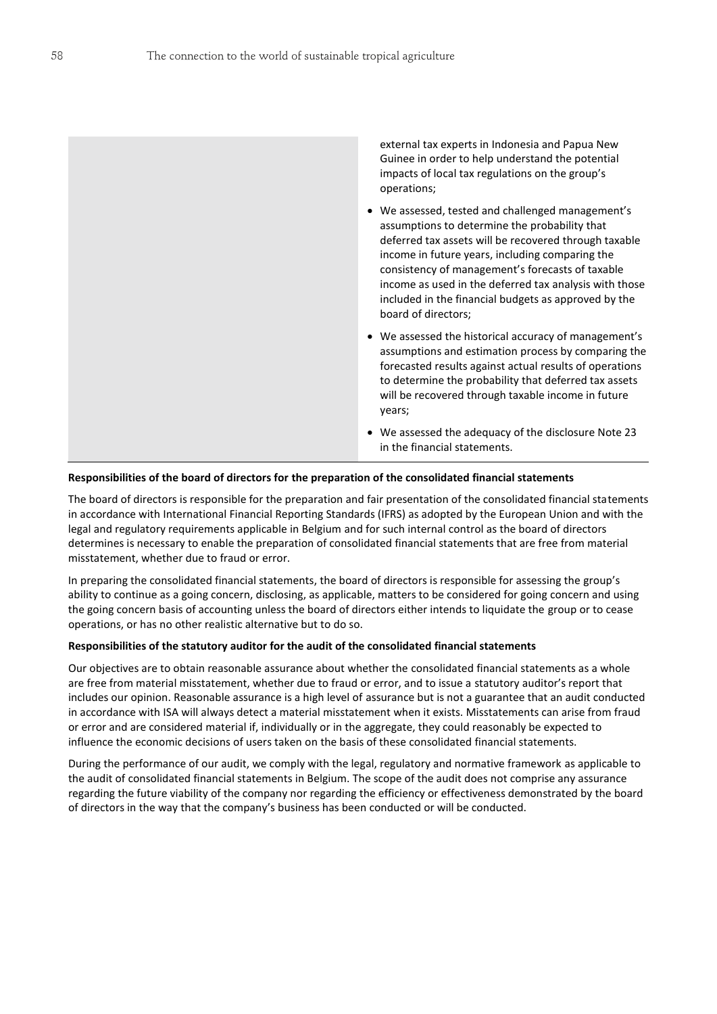external tax experts in Indonesia and Papua New Guinee in order to help understand the potential impacts of local tax regulations on the group's operations;

- We assessed, tested and challenged management's assumptions to determine the probability that deferred tax assets will be recovered through taxable income in future years, including comparing the consistency of management's forecasts of taxable income as used in the deferred tax analysis with those included in the financial budgets as approved by the board of directors;
- We assessed the historical accuracy of management's assumptions and estimation process by comparing the forecasted results against actual results of operations to determine the probability that deferred tax assets will be recovered through taxable income in future years;
- We assessed the adequacy of the disclosure Note 23 in the financial statements.

#### **Responsibilities of the board of directors for the preparation of the consolidated financial statements**

The board of directors is responsible for the preparation and fair presentation of the consolidated financial statements in accordance with International Financial Reporting Standards (IFRS) as adopted by the European Union and with the legal and regulatory requirements applicable in Belgium and for such internal control as the board of directors determines is necessary to enable the preparation of consolidated financial statements that are free from material misstatement, whether due to fraud or error.

In preparing the consolidated financial statements, the board of directors is responsible for assessing the group's ability to continue as a going concern, disclosing, as applicable, matters to be considered for going concern and using the going concern basis of accounting unless the board of directors either intends to liquidate the group or to cease operations, or has no other realistic alternative but to do so.

#### **Responsibilities of the statutory auditor for the audit of the consolidated financial statements**

Our objectives are to obtain reasonable assurance about whether the consolidated financial statements as a whole are free from material misstatement, whether due to fraud or error, and to issue a statutory auditor's report that includes our opinion. Reasonable assurance is a high level of assurance but is not a guarantee that an audit conducted in accordance with ISA will always detect a material misstatement when it exists. Misstatements can arise from fraud or error and are considered material if, individually or in the aggregate, they could reasonably be expected to influence the economic decisions of users taken on the basis of these consolidated financial statements.

During the performance of our audit, we comply with the legal, regulatory and normative framework as applicable to the audit of consolidated financial statements in Belgium. The scope of the audit does not comprise any assurance regarding the future viability of the company nor regarding the efficiency or effectiveness demonstrated by the board of directors in the way that the company's business has been conducted or will be conducted.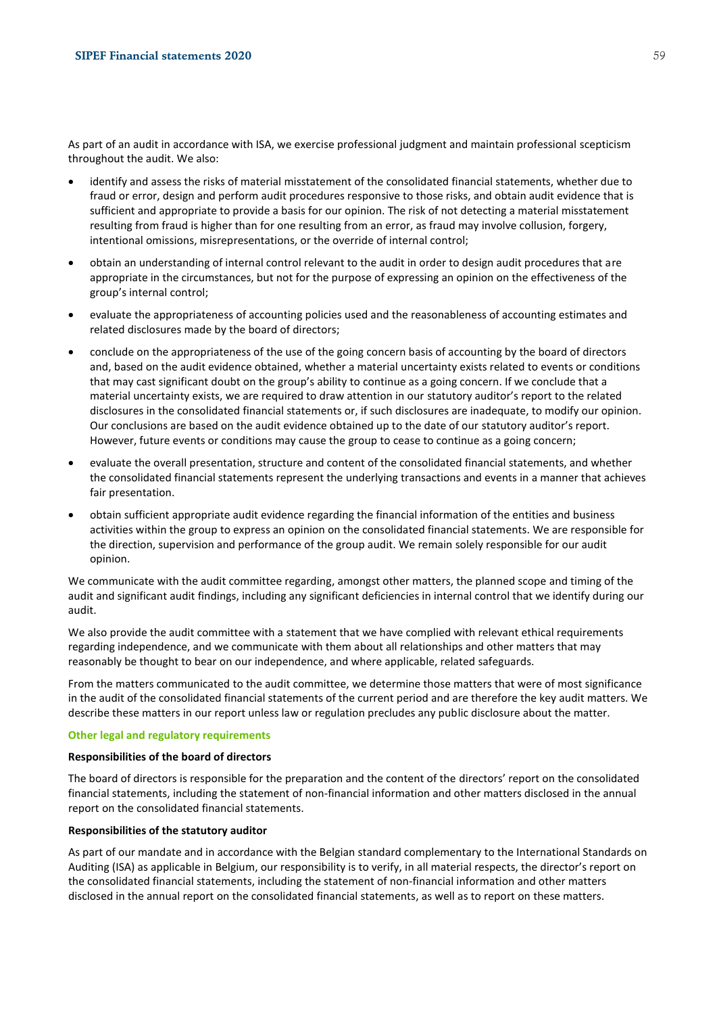As part of an audit in accordance with ISA, we exercise professional judgment and maintain professional scepticism throughout the audit. We also:

- identify and assess the risks of material misstatement of the consolidated financial statements, whether due to fraud or error, design and perform audit procedures responsive to those risks, and obtain audit evidence that is sufficient and appropriate to provide a basis for our opinion. The risk of not detecting a material misstatement resulting from fraud is higher than for one resulting from an error, as fraud may involve collusion, forgery, intentional omissions, misrepresentations, or the override of internal control;
- obtain an understanding of internal control relevant to the audit in order to design audit procedures that are appropriate in the circumstances, but not for the purpose of expressing an opinion on the effectiveness of the group's internal control;
- evaluate the appropriateness of accounting policies used and the reasonableness of accounting estimates and related disclosures made by the board of directors;
- conclude on the appropriateness of the use of the going concern basis of accounting by the board of directors and, based on the audit evidence obtained, whether a material uncertainty exists related to events or conditions that may cast significant doubt on the group's ability to continue as a going concern. If we conclude that a material uncertainty exists, we are required to draw attention in our statutory auditor's report to the related disclosures in the consolidated financial statements or, if such disclosures are inadequate, to modify our opinion. Our conclusions are based on the audit evidence obtained up to the date of our statutory auditor's report. However, future events or conditions may cause the group to cease to continue as a going concern;
- evaluate the overall presentation, structure and content of the consolidated financial statements, and whether the consolidated financial statements represent the underlying transactions and events in a manner that achieves fair presentation.
- obtain sufficient appropriate audit evidence regarding the financial information of the entities and business activities within the group to express an opinion on the consolidated financial statements. We are responsible for the direction, supervision and performance of the group audit. We remain solely responsible for our audit opinion.

We communicate with the audit committee regarding, amongst other matters, the planned scope and timing of the audit and significant audit findings, including any significant deficiencies in internal control that we identify during our audit.

We also provide the audit committee with a statement that we have complied with relevant ethical requirements regarding independence, and we communicate with them about all relationships and other matters that may reasonably be thought to bear on our independence, and where applicable, related safeguards.

From the matters communicated to the audit committee, we determine those matters that were of most significance in the audit of the consolidated financial statements of the current period and are therefore the key audit matters. We describe these matters in our report unless law or regulation precludes any public disclosure about the matter.

#### **Other legal and regulatory requirements**

#### **Responsibilities of the board of directors**

The board of directors is responsible for the preparation and the content of the directors' report on the consolidated financial statements, including the statement of non-financial information and other matters disclosed in the annual report on the consolidated financial statements.

#### **Responsibilities of the statutory auditor**

As part of our mandate and in accordance with the Belgian standard complementary to the International Standards on Auditing (ISA) as applicable in Belgium, our responsibility is to verify, in all material respects, the director's report on the consolidated financial statements, including the statement of non-financial information and other matters disclosed in the annual report on the consolidated financial statements, as well as to report on these matters.